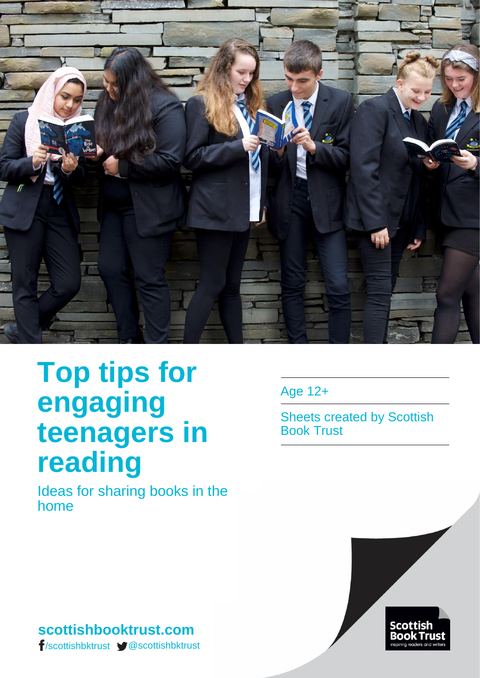

# **Top tips for engaging teenagers in reading**

Ideas for sharing books in the home

Age 12+

Sheets created by Scottish Book Trust



# **scottishbooktrust.com** /scottishbktrust @scottishbktrust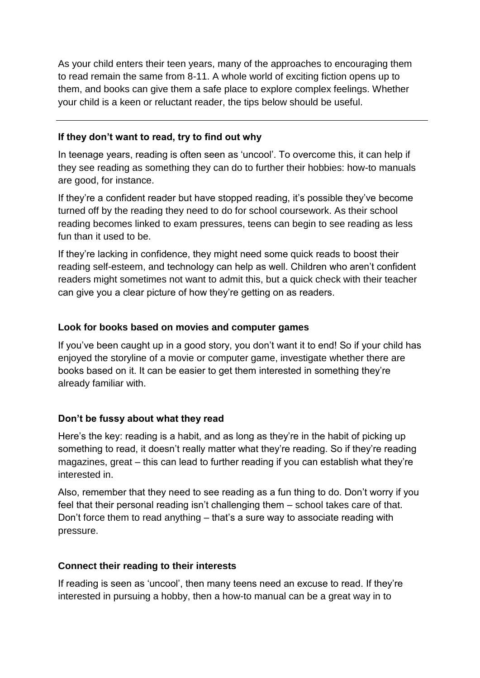As your child enters their teen years, many of the approaches to encouraging them to read remain the same from 8-11. A whole world of exciting fiction opens up to them, and books can give them a safe place to explore complex feelings. Whether your child is a keen or reluctant reader, the tips below should be useful.

#### **If they don't want to read, try to find out why**

In teenage years, reading is often seen as 'uncool'. To overcome this, it can help if they see reading as something they can do to further their hobbies: how-to manuals are good, for instance.

If they're a confident reader but have stopped reading, it's possible they've become turned off by the reading they need to do for school coursework. As their school reading becomes linked to exam pressures, teens can begin to see reading as less fun than it used to be.

If they're lacking in confidence, they might need some quick reads to boost their reading self-esteem, and technology can help as well. Children who aren't confident readers might sometimes not want to admit this, but a quick check with their teacher can give you a clear picture of how they're getting on as readers.

#### **Look for books based on movies and computer games**

If you've been caught up in a good story, you don't want it to end! So if your child has enjoyed the storyline of a movie or computer game, investigate whether there are books based on it. It can be easier to get them interested in something they're already familiar with.

## **Don't be fussy about what they read**

Here's the key: reading is a habit, and as long as they're in the habit of picking up something to read, it doesn't really matter what they're reading. So if they're reading magazines, great – this can lead to further reading if you can establish what they're interested in.

Also, remember that they need to see reading as a fun thing to do. Don't worry if you feel that their personal reading isn't challenging them – school takes care of that. Don't force them to read anything – that's a sure way to associate reading with pressure.

#### **Connect their reading to their interests**

If reading is seen as 'uncool', then many teens need an excuse to read. If they're interested in pursuing a hobby, then a how-to manual can be a great way in to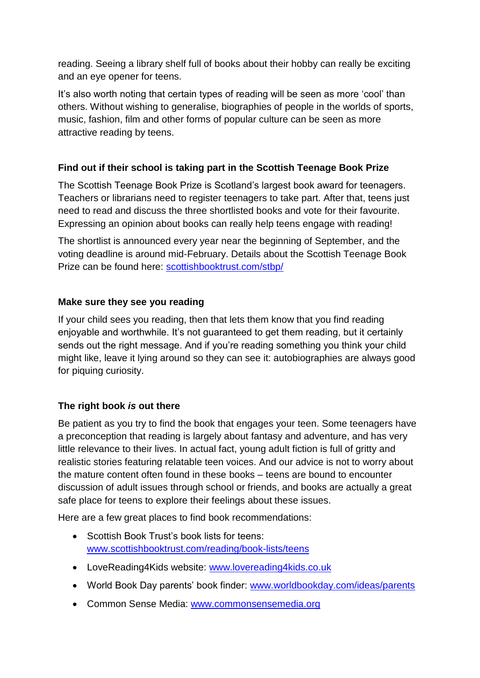reading. Seeing a library shelf full of books about their hobby can really be exciting and an eye opener for teens.

It's also worth noting that certain types of reading will be seen as more 'cool' than others. Without wishing to generalise, biographies of people in the worlds of sports, music, fashion, film and other forms of popular culture can be seen as more attractive reading by teens.

#### **Find out if their school is taking part in the Scottish Teenage Book Prize**

The Scottish Teenage Book Prize is Scotland's largest book award for teenagers. Teachers or librarians need to register teenagers to take part. After that, teens just need to read and discuss the three shortlisted books and vote for their favourite. Expressing an opinion about books can really help teens engage with reading!

The shortlist is announced every year near the beginning of September, and the voting deadline is around mid-February. Details about the Scottish Teenage Book Prize can be found here: [scottishbooktrust.com/stbp/](http://scottishbooktrust.com/stbp/)

#### **Make sure they see you reading**

If your child sees you reading, then that lets them know that you find reading enjoyable and worthwhile. It's not guaranteed to get them reading, but it certainly sends out the right message. And if you're reading something you think your child might like, leave it lying around so they can see it: autobiographies are always good for piquing curiosity.

## **The right book** *is* **out there**

Be patient as you try to find the book that engages your teen. Some teenagers have a preconception that reading is largely about fantasy and adventure, and has very little relevance to their lives. In actual fact, young adult fiction is full of gritty and realistic stories featuring relatable teen voices. And our advice is not to worry about the mature content often found in these books – teens are bound to encounter discussion of adult issues through school or friends, and books are actually a great safe place for teens to explore their feelings about these issues.

Here are a few great places to find book recommendations:

- Scottish Book Trust's book lists for teens: [www.scottishbooktrust.com/reading/book-lists/teens](http://www.scottishbooktrust.com/reading/book-lists/teens)
- LoveReading4Kids website: [www.lovereading4kids.co.uk](http://www.lovereading4kids.co.uk/)
- World Book Day parents' book finder: [www.worldbookday.com/ideas/parents](http://www.worldbookday.com/ideas/parents)
- Common Sense Media: [www.commonsensemedia.org](http://www.commonsensemedia.org/)